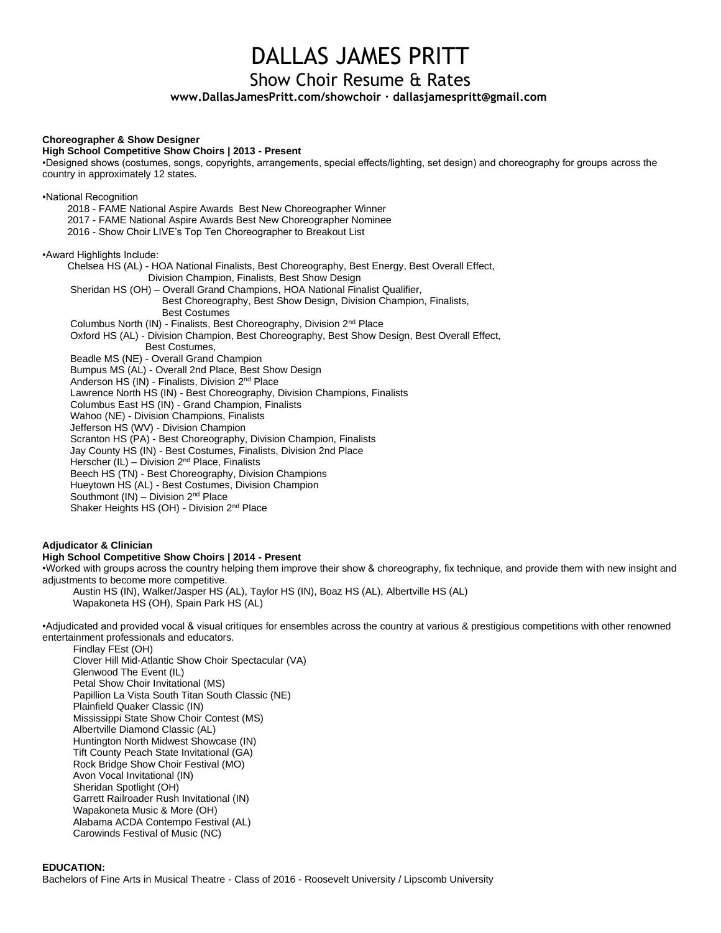### DALLAS JAMES PRITT

#### Show Choir Resume & Rates

**www.DallasJamesPritt.com/showchoir ∙ dallasjamespritt@gmail.com**

#### **Choreographer & Show Designer**

#### **High School Competitive Show Choirs | 2013 - Present**

•Designed shows (costumes, songs, copyrights, arrangements, special effects/lighting, set design) and choreography for groups across the country in approximately 12 states.

•National Recognition

2018 - FAME National Aspire Awards Best New Choreographer Winner 2017 - FAME National Aspire Awards Best New Choreographer Nominee 2016 - Show Choir LIVE's Top Ten Choreographer to Breakout List

•Award Highlights Include:

Chelsea HS (AL) - HOA National Finalists, Best Choreography, Best Energy, Best Overall Effect, Division Champion, Finalists, Best Show Design Sheridan HS (OH) – Overall Grand Champions, HOA National Finalist Qualifier, Best Choreography, Best Show Design, Division Champion, Finalists, Best Costumes Columbus North (IN) - Finalists, Best Choreography, Division 2nd Place Oxford HS (AL) - Division Champion, Best Choreography, Best Show Design, Best Overall Effect, Best Costumes, Beadle MS (NE) - Overall Grand Champion Bumpus MS (AL) - Overall 2nd Place, Best Show Design Anderson HS (IN) - Finalists, Division 2nd Place Lawrence North HS (IN) - Best Choreography, Division Champions, Finalists Columbus East HS (IN) - Grand Champion, Finalists Wahoo (NE) - Division Champions, Finalists Jefferson HS (WV) - Division Champion Scranton HS (PA) - Best Choreography, Division Champion, Finalists Jay County HS (IN) - Best Costumes, Finalists, Division 2nd Place Herscher (IL) – Division 2nd Place, Finalists Beech HS (TN) - Best Choreography, Division Champions Hueytown HS (AL) - Best Costumes, Division Champion

Southmont  $(IN)$  – Division  $2<sup>nd</sup>$  Place

Shaker Heights HS (OH) - Division 2<sup>nd</sup> Place

#### **Adjudicator & Clinician**

#### **High School Competitive Show Choirs | 2014 - Present**

•Worked with groups across the country helping them improve their show & choreography, fix technique, and provide them with new insight and adjustments to become more competitive.

Austin HS (IN), Walker/Jasper HS (AL), Taylor HS (IN), Boaz HS (AL), Albertville HS (AL) Wapakoneta HS (OH), Spain Park HS (AL)

•Adjudicated and provided vocal & visual critiques for ensembles across the country at various & prestigious competitions with other renowned entertainment professionals and educators.

Findlay FEst (OH) Clover Hill Mid-Atlantic Show Choir Spectacular (VA) Glenwood The Event (IL) Petal Show Choir Invitational (MS) Papillion La Vista South Titan South Classic (NE) Plainfield Quaker Classic (IN) Mississippi State Show Choir Contest (MS) Albertville Diamond Classic (AL) Huntington North Midwest Showcase (IN) Tift County Peach State Invitational (GA) Rock Bridge Show Choir Festival (MO) Avon Vocal Invitational (IN) Sheridan Spotlight (OH) Garrett Railroader Rush Invitational (IN) Wapakoneta Music & More (OH) Alabama ACDA Contempo Festival (AL) Carowinds Festival of Music (NC)